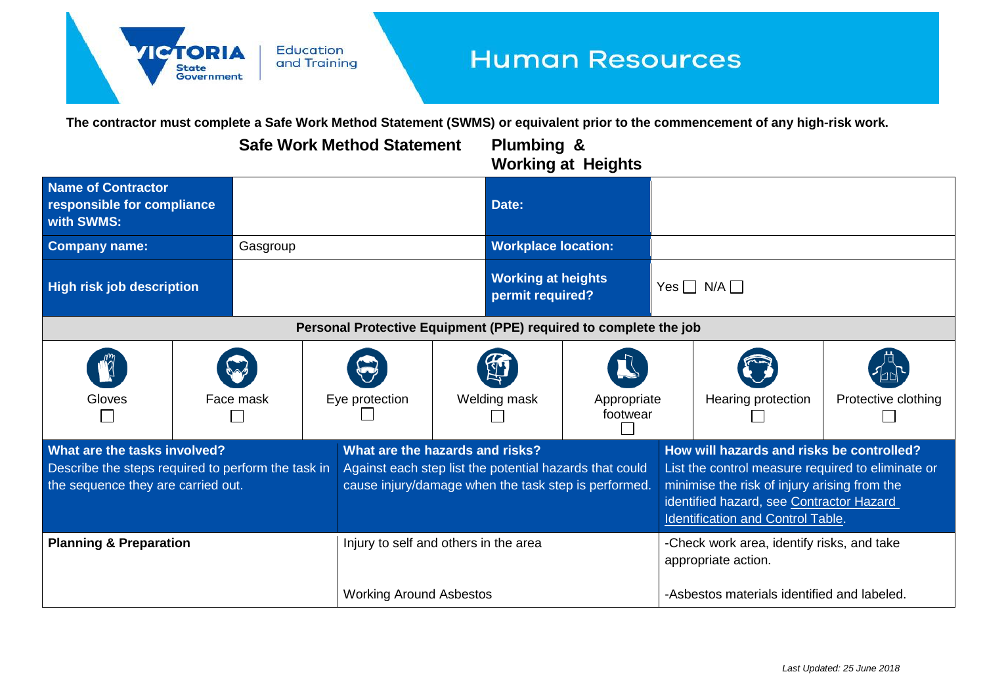### **Human Resources**

**The contractor must complete a Safe Work Method Statement (SWMS) or equivalent prior to the commencement of any high-risk work.**

#### **Safe Work Method Statement Plumbing &**

**Education** 

and Training

**CTORL** 

**State Government** 

# **Working at Heights**

| Name of Contractor<br>responsible for compliance<br>with SWMS:                                                           |  |           |                                                                                                                                                    |                |                            | Date:                                                                                                                                                                                                                           |                                             |                     |                    |                     |
|--------------------------------------------------------------------------------------------------------------------------|--|-----------|----------------------------------------------------------------------------------------------------------------------------------------------------|----------------|----------------------------|---------------------------------------------------------------------------------------------------------------------------------------------------------------------------------------------------------------------------------|---------------------------------------------|---------------------|--------------------|---------------------|
| <b>Company name:</b><br>Gasgroup                                                                                         |  |           |                                                                                                                                                    |                | <b>Workplace location:</b> |                                                                                                                                                                                                                                 |                                             |                     |                    |                     |
| <b>High risk job description</b>                                                                                         |  |           |                                                                                                                                                    |                |                            | <b>Working at heights</b><br>permit required?                                                                                                                                                                                   |                                             | $Yes \Box N/A \Box$ |                    |                     |
| Personal Protective Equipment (PPE) required to complete the job                                                         |  |           |                                                                                                                                                    |                |                            |                                                                                                                                                                                                                                 |                                             |                     |                    |                     |
| Gloves                                                                                                                   |  | Face mask |                                                                                                                                                    | Eye protection | Welding mask               |                                                                                                                                                                                                                                 | Appropriate<br>footwear                     |                     | Hearing protection | Protective clothing |
| What are the tasks involved?<br>Describe the steps required to perform the task in<br>the sequence they are carried out. |  |           | What are the hazards and risks?<br>Against each step list the potential hazards that could<br>cause injury/damage when the task step is performed. |                |                            | How will hazards and risks be controlled?<br>List the control measure required to eliminate or<br>minimise the risk of injury arising from the<br>identified hazard, see Contractor Hazard<br>Identification and Control Table. |                                             |                     |                    |                     |
| <b>Planning &amp; Preparation</b>                                                                                        |  |           | Injury to self and others in the area                                                                                                              |                |                            | -Check work area, identify risks, and take<br>appropriate action.                                                                                                                                                               |                                             |                     |                    |                     |
|                                                                                                                          |  |           | <b>Working Around Asbestos</b>                                                                                                                     |                |                            |                                                                                                                                                                                                                                 | -Asbestos materials identified and labeled. |                     |                    |                     |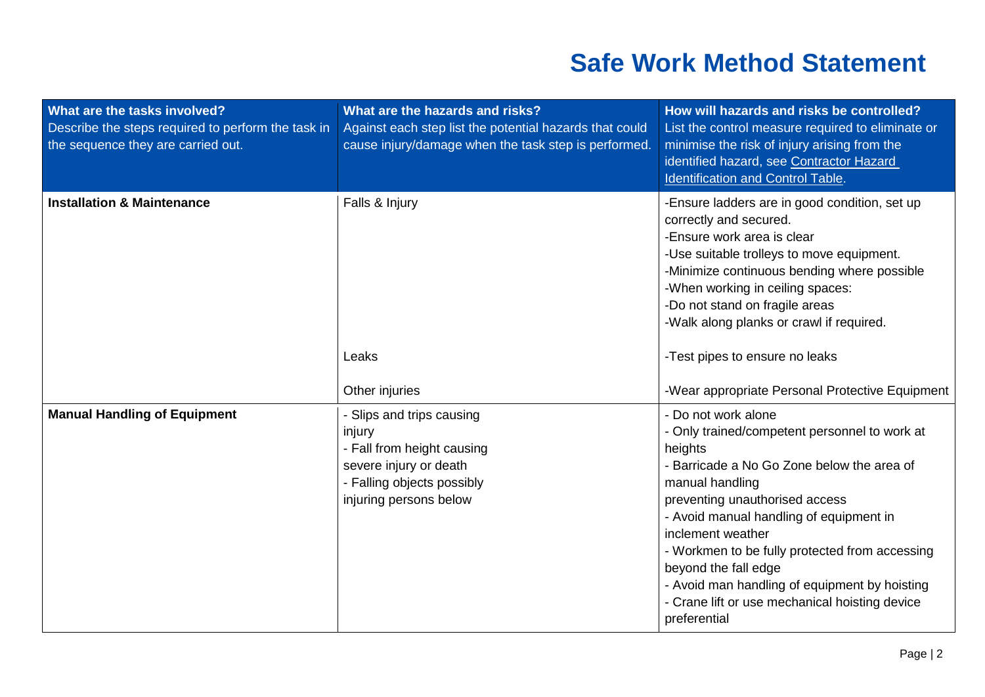### **Safe Work Method Statement**

| What are the tasks involved?<br>Describe the steps required to perform the task in<br>the sequence they are carried out. | What are the hazards and risks?<br>Against each step list the potential hazards that could<br>cause injury/damage when the task step is performed.  | How will hazards and risks be controlled?<br>List the control measure required to eliminate or<br>minimise the risk of injury arising from the<br>identified hazard, see Contractor Hazard<br>Identification and Control Table.                                                                                                                                                                                                                 |  |
|--------------------------------------------------------------------------------------------------------------------------|-----------------------------------------------------------------------------------------------------------------------------------------------------|-------------------------------------------------------------------------------------------------------------------------------------------------------------------------------------------------------------------------------------------------------------------------------------------------------------------------------------------------------------------------------------------------------------------------------------------------|--|
| <b>Installation &amp; Maintenance</b>                                                                                    | Falls & Injury                                                                                                                                      | -Ensure ladders are in good condition, set up<br>correctly and secured.<br>-Ensure work area is clear<br>-Use suitable trolleys to move equipment.<br>-Minimize continuous bending where possible<br>-When working in ceiling spaces:<br>-Do not stand on fragile areas<br>-Walk along planks or crawl if required.                                                                                                                             |  |
|                                                                                                                          | Leaks                                                                                                                                               | -Test pipes to ensure no leaks                                                                                                                                                                                                                                                                                                                                                                                                                  |  |
|                                                                                                                          | Other injuries                                                                                                                                      | -Wear appropriate Personal Protective Equipment                                                                                                                                                                                                                                                                                                                                                                                                 |  |
| <b>Manual Handling of Equipment</b>                                                                                      | - Slips and trips causing<br>injury<br>- Fall from height causing<br>severe injury or death<br>- Falling objects possibly<br>injuring persons below | - Do not work alone<br>- Only trained/competent personnel to work at<br>heights<br>- Barricade a No Go Zone below the area of<br>manual handling<br>preventing unauthorised access<br>- Avoid manual handling of equipment in<br>inclement weather<br>- Workmen to be fully protected from accessing<br>beyond the fall edge<br>- Avoid man handling of equipment by hoisting<br>- Crane lift or use mechanical hoisting device<br>preferential |  |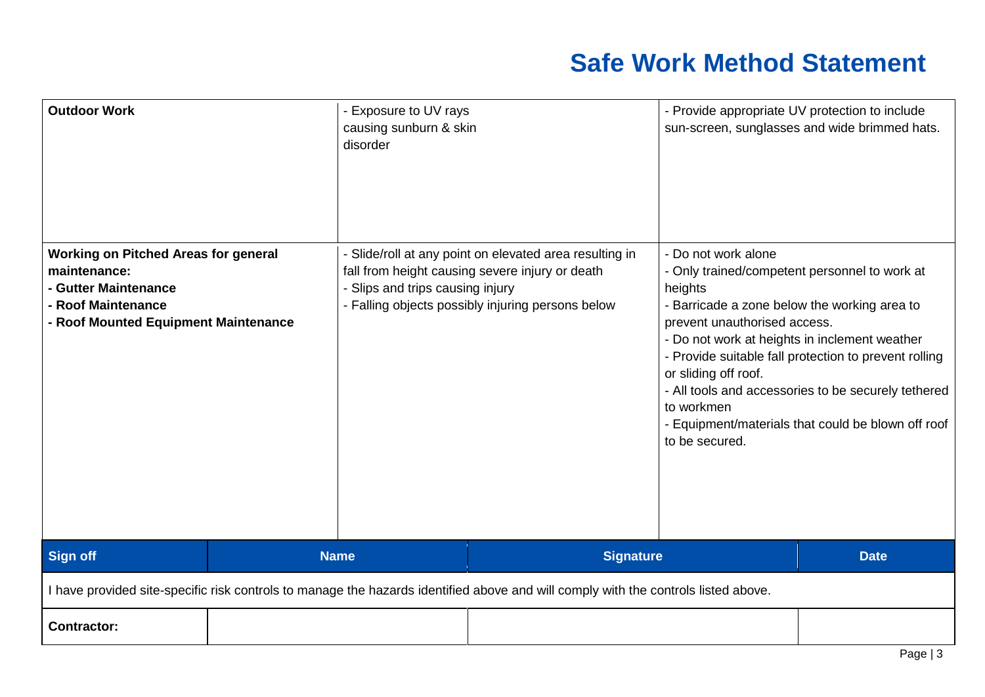## **Safe Work Method Statement**

| <b>Outdoor Work</b>                                                                                                                               |             | - Exposure to UV rays<br>causing sunburn & skin<br>disorder                                                                                                                                         |                                                                                                                                    | - Provide appropriate UV protection to include                                                                                                                                                                                                                                                                                                                                                                                                 | sun-screen, sunglasses and wide brimmed hats. |
|---------------------------------------------------------------------------------------------------------------------------------------------------|-------------|-----------------------------------------------------------------------------------------------------------------------------------------------------------------------------------------------------|------------------------------------------------------------------------------------------------------------------------------------|------------------------------------------------------------------------------------------------------------------------------------------------------------------------------------------------------------------------------------------------------------------------------------------------------------------------------------------------------------------------------------------------------------------------------------------------|-----------------------------------------------|
| <b>Working on Pitched Areas for general</b><br>maintenance:<br>- Gutter Maintenance<br>- Roof Maintenance<br>- Roof Mounted Equipment Maintenance |             | - Slide/roll at any point on elevated area resulting in<br>fall from height causing severe injury or death<br>- Slips and trips causing injury<br>- Falling objects possibly injuring persons below |                                                                                                                                    | - Do not work alone<br>- Only trained/competent personnel to work at<br>heights<br>- Barricade a zone below the working area to<br>prevent unauthorised access.<br>- Do not work at heights in inclement weather<br>- Provide suitable fall protection to prevent rolling<br>or sliding off roof.<br>- All tools and accessories to be securely tethered<br>to workmen<br>- Equipment/materials that could be blown off roof<br>to be secured. |                                               |
| <b>Sign off</b>                                                                                                                                   | <b>Name</b> |                                                                                                                                                                                                     | <b>Signature</b>                                                                                                                   |                                                                                                                                                                                                                                                                                                                                                                                                                                                | <b>Date</b>                                   |
|                                                                                                                                                   |             |                                                                                                                                                                                                     | I have provided site-specific risk controls to manage the hazards identified above and will comply with the controls listed above. |                                                                                                                                                                                                                                                                                                                                                                                                                                                |                                               |
| <b>Contractor:</b>                                                                                                                                |             |                                                                                                                                                                                                     |                                                                                                                                    |                                                                                                                                                                                                                                                                                                                                                                                                                                                |                                               |